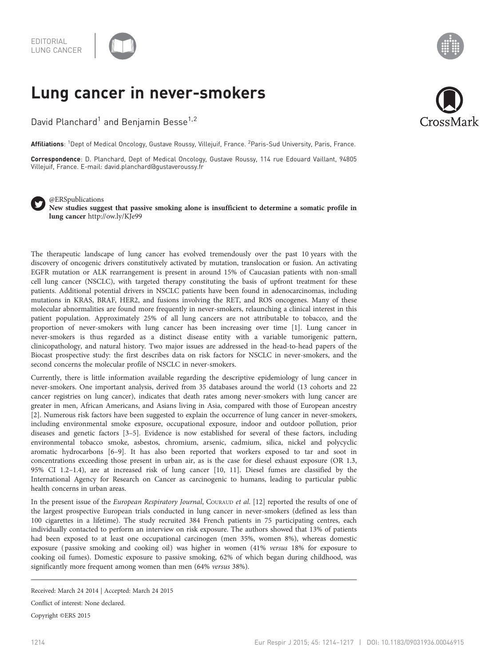

## Lung cancer in never-smokers

David Planchard<sup>1</sup> and Benjamin Besse<sup>1,2</sup>

**Affiliations**: <sup>1</sup>Dept of Medical Oncology, Gustave Roussy, Villejuif, France. <sup>2</sup>Paris-Sud University, Paris, France.

Correspondence: D. Planchard, Dept of Medical Oncology, Gustave Roussy, 114 rue Edouard Vaillant, 94805 Villejuif, France. E-mail: [david.planchard@gustaveroussy.fr](mailto:david.planchard@gustaveroussy.fr)



@ERSpublications New studies suggest that passive smoking alone is insufficient to determine a somatic profile in lung cancer <http://ow.ly/KJe99>

The therapeutic landscape of lung cancer has evolved tremendously over the past 10 years with the discovery of oncogenic drivers constitutively activated by mutation, translocation or fusion. An activating EGFR mutation or ALK rearrangement is present in around 15% of Caucasian patients with non-small cell lung cancer (NSCLC), with targeted therapy constituting the basis of upfront treatment for these patients. Additional potential drivers in NSCLC patients have been found in adenocarcinomas, including mutations in KRAS, BRAF, HER2, and fusions involving the RET, and ROS oncogenes. Many of these molecular abnormalities are found more frequently in never-smokers, relaunching a clinical interest in this patient population. Approximately 25% of all lung cancers are not attributable to tobacco, and the proportion of never-smokers with lung cancer has been increasing over time [\[1\]](#page-2-0). Lung cancer in never-smokers is thus regarded as a distinct disease entity with a variable tumorigenic pattern, clinicopathology, and natural history. Two major issues are addressed in the head-to-head papers of the Biocast prospective study: the first describes data on risk factors for NSCLC in never-smokers, and the second concerns the molecular profile of NSCLC in never-smokers.

Currently, there is little information available regarding the descriptive epidemiology of lung cancer in never-smokers. One important analysis, derived from 35 databases around the world (13 cohorts and 22 cancer registries on lung cancer), indicates that death rates among never-smokers with lung cancer are greater in men, African Americans, and Asians living in Asia, compared with those of European ancestry [[2](#page-2-0)]. Numerous risk factors have been suggested to explain the occurrence of lung cancer in never-smokers, including environmental smoke exposure, occupational exposure, indoor and outdoor pollution, prior diseases and genetic factors [\[3](#page-2-0)–[5](#page-2-0)]. Evidence is now established for several of these factors, including environmental tobacco smoke, asbestos, chromium, arsenic, cadmium, silica, nickel and polycyclic aromatic hydrocarbons [[6](#page-2-0)–[9\]](#page-2-0). It has also been reported that workers exposed to tar and soot in concentrations exceeding those present in urban air, as is the case for diesel exhaust exposure (OR 1.3, 95% CI 1.2–1.4), are at increased risk of lung cancer [[10](#page-2-0), [11](#page-2-0)]. Diesel fumes are classified by the International Agency for Research on Cancer as carcinogenic to humans, leading to particular public health concerns in urban areas.

In the present issue of the European Respiratory Journal, Couraup et al. [\[12](#page-2-0)] reported the results of one of the largest prospective European trials conducted in lung cancer in never-smokers (defined as less than 100 cigarettes in a lifetime). The study recruited 384 French patients in 75 participating centres, each individually contacted to perform an interview on risk exposure. The authors showed that 13% of patients had been exposed to at least one occupational carcinogen (men 35%, women 8%), whereas domestic exposure ( passive smoking and cooking oil) was higher in women (41% versus 18% for exposure to cooking oil fumes). Domestic exposure to passive smoking, 62% of which began during childhood, was significantly more frequent among women than men (64% versus 38%).

Conflict of interest: None declared.

Copyright ©ERS 2015



Received: March 24 2014 | Accepted: March 24 2015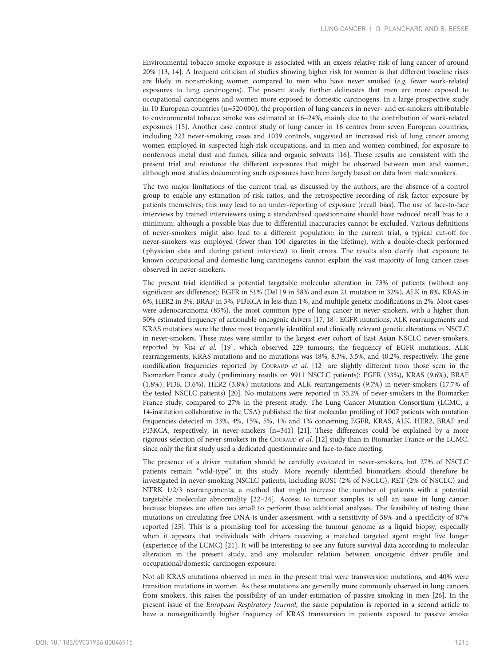Environmental tobacco smoke exposure is associated with an excess relative risk of lung cancer of around 20% [\[13, 14](#page-2-0)]. A frequent criticism of studies showing higher risk for women is that different baseline risks are likely in nonsmoking women compared to men who have never smoked (e.g. fewer work-related exposures to lung carcinogens). The present study further delineates that men are more exposed to occupational carcinogens and women more exposed to domestic carcinogens. In a large prospective study in 10 European countries (n=520 000), the proportion of lung cancers in never- and ex-smokers attributable to environmental tobacco smoke was estimated at 16–24%, mainly due to the contribution of work-related exposures [[15](#page-2-0)]. Another case control study of lung cancer in 16 centres from seven European countries, including 223 never-smoking cases and 1039 controls, suggested an increased risk of lung cancer among women employed in suspected high-risk occupations, and in men and women combined, for exposure to nonferrous metal dust and fumes, silica and organic solvents [[16](#page-2-0)]. These results are consistent with the present trial and reinforce the different exposures that might be observed between men and women, although most studies documenting such exposures have been largely based on data from male smokers.

The two major limitations of the current trial, as discussed by the authors, are the absence of a control group to enable any estimation of risk ratios, and the retrospective recording of risk factor exposure by patients themselves; this may lead to an under-reporting of exposure (recall bias). The use of face-to-face interviews by trained interviewers using a standardised questionnaire should have reduced recall bias to a minimum, although a possible bias due to differential inaccuracies cannot be excluded. Various definitions of never-smokers might also lead to a different population: in the current trial, a typical cut-off for never-smokers was employed (fewer than 100 cigarettes in the lifetime), with a double-check performed ( physician data and during patient interview) to limit errors. The results also clarify that exposure to known occupational and domestic lung carcinogens cannot explain the vast majority of lung cancer cases observed in never-smokers.

The present trial identified a potential targetable molecular alteration in 73% of patients (without any significant sex difference): EGFR in 51% (Del 19 in 58% and exon 21 mutation in 32%), ALK in 8%, KRAS in 6%, HER2 in 3%, BRAF in 3%, PI3KCA in less than 1%, and multiple genetic modifications in 2%. Most cases were adenocarcinoma (85%), the most common type of lung cancer in never-smokers, with a higher than 50% estimated frequency of actionable oncogenic drivers [\[17](#page-2-0), [18](#page-2-0)]. EGFR mutations, ALK rearrangements and KRAS mutations were the three most frequently identified and clinically relevant genetic alterations in NSCLC in never-smokers. These rates were similar to the largest ever cohort of East Asian NSCLC never-smokers, reported by KIM et al. [\[19\]](#page-2-0), which observed 229 tumours; the frequency of EGFR mutations, ALK rearrangements, KRAS mutations and no mutations was 48%, 8.3%, 3.5%, and 40.2%, respectively. The gene modification frequencies reported by COURAUD et al. [[12](#page-2-0)] are slightly different from those seen in the Biomarker France study (preliminary results on 9911 NSCLC patients): EGFR (33%), KRAS (9.6%), BRAF (1.8%), PI3K (3.6%), HER2 (3.8%) mutations and ALK rearrangements (9.7%) in never-smokers (17.7% of the tested NSCLC patients) [[20](#page-2-0)]. No mutations were reported in 35.2% of never-smokers in the Biomarker France study, compared to 27% in the present study. The Lung Cancer Mutation Consortium (LCMC, a 14-institution collaborative in the USA) published the first molecular profiling of 1007 patients with mutation frequencies detected in 33%, 4%, 15%, 5%, 1% and 1% concerning EGFR, KRAS, ALK, HER2, BRAF and PI3KCA, respectively, in never-smokers (n=341) [\[21\]](#page-2-0). These differences could be explained by a more rigorous selection of never-smokers in the COURAUD et al. [[12](#page-2-0)] study than in Biomarker France or the LCMC, since only the first study used a dedicated questionnaire and face-to-face meeting.

The presence of a driver mutation should be carefully evaluated in never-smokers, but 27% of NSCLC patients remain "wild-type" in this study. More recently identified biomarkers should therefore be investigated in never-smoking NSCLC patients, including ROS1 (2% of NSCLC), RET (2% of NSCLC) and NTRK 1/2/3 rearrangements; a method that might increase the number of patients with a potential targetable molecular abnormality [[22](#page-2-0)–[24](#page-3-0)]. Access to tumour samples is still an issue in lung cancer because biopsies are often too small to perform these additional analyses. The feasibility of testing these mutations on circulating free DNA is under assessment, with a sensitivity of 58% and a specificity of 87% reported [[25](#page-3-0)]. This is a promising tool for accessing the tumour genome as a liquid biopsy, especially when it appears that individuals with drivers receiving a matched targeted agent might live longer (experience of the LCMC) [\[21\]](#page-2-0). It will be interesting to see any future survival data according to molecular alteration in the present study, and any molecular relation between oncogenic driver profile and occupational/domestic carcinogen exposure.

Not all KRAS mutations observed in men in the present trial were transversion mutations, and 40% were transition mutations in women. As these mutations are generally more commonly observed in lung cancers from smokers, this raises the possibility of an under-estimation of passive smoking in men [\[26\]](#page-3-0). In the present issue of the European Respiratory Journal, the same population is reported in a second article to have a nonsignificantly higher frequency of KRAS transversion in patients exposed to passive smoke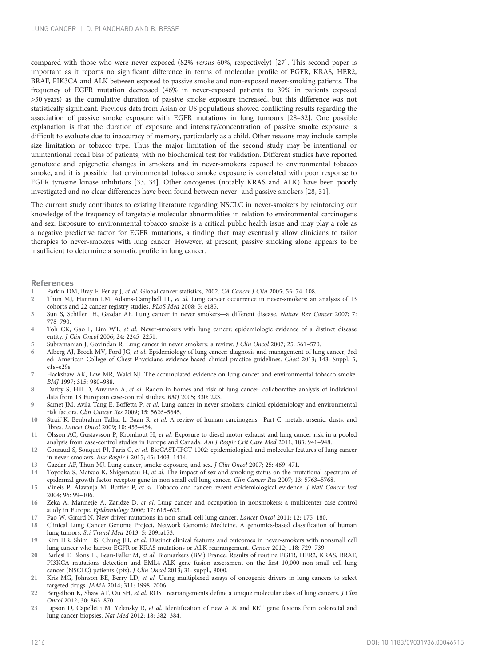<span id="page-2-0"></span>compared with those who were never exposed (82% versus 60%, respectively) [[27](#page-3-0)]. This second paper is important as it reports no significant difference in terms of molecular profile of EGFR, KRAS, HER2, BRAF, PIK3CA and ALK between exposed to passive smoke and non-exposed never-smoking patients. The frequency of EGFR mutation decreased (46% in never-exposed patients to 39% in patients exposed >30 years) as the cumulative duration of passive smoke exposure increased, but this difference was not statistically significant. Previous data from Asian or US populations showed conflicting results regarding the association of passive smoke exposure with EGFR mutations in lung tumours [\[28](#page-3-0)–[32\]](#page-3-0). One possible explanation is that the duration of exposure and intensity/concentration of passive smoke exposure is difficult to evaluate due to inaccuracy of memory, particularly as a child. Other reasons may include sample size limitation or tobacco type. Thus the major limitation of the second study may be intentional or unintentional recall bias of patients, with no biochemical test for validation. Different studies have reported genotoxic and epigenetic changes in smokers and in never-smokers exposed to environmental tobacco smoke, and it is possible that environmental tobacco smoke exposure is correlated with poor response to EGFR tyrosine kinase inhibitors [[33](#page-3-0), [34\]](#page-3-0). Other oncogenes (notably KRAS and ALK) have been poorly investigated and no clear differences have been found between never- and passive smokers [[28](#page-3-0), [31](#page-3-0)].

The current study contributes to existing literature regarding NSCLC in never-smokers by reinforcing our knowledge of the frequency of targetable molecular abnormalities in relation to environmental carcinogens and sex. Exposure to environmental tobacco smoke is a critical public health issue and may play a role as a negative predictive factor for EGFR mutations, a finding that may eventually allow clinicians to tailor therapies to never-smokers with lung cancer. However, at present, passive smoking alone appears to be insufficient to determine a somatic profile in lung cancer.

## References

- Parkin DM, Bray F, Ferlay J, et al. Global cancer statistics, 2002. CA Cancer J Clin 2005; 55: 74-108.
- Thun MJ, Hannan LM, Adams-Campbell LL, et al. Lung cancer occurrence in never-smokers: an analysis of 13 cohorts and 22 cancer registry studies. PLoS Med 2008; 5: e185.
- 3 Sun S, Schiller JH, Gazdar AF. Lung cancer in never smokers—a different disease. Nature Rev Cancer 2007; 7: 778–790.
- 4 Toh CK, Gao F, Lim WT, et al. Never-smokers with lung cancer: epidemiologic evidence of a distinct disease entity. J Clin Oncol 2006; 24: 2245–2251.
- 5 Subramanian J, Govindan R. Lung cancer in never smokers: a review. J Clin Oncol 2007; 25: 561–570.
- Alberg AJ, Brock MV, Ford JG, et al. Epidemiology of lung cancer: diagnosis and management of lung cancer, 3rd ed: American College of Chest Physicians evidence-based clinical practice guidelines. Chest 2013; 143: Suppl. 5, e1s–e29s.
- Hackshaw AK, Law MR, Wald NJ. The accumulated evidence on lung cancer and environmental tobacco smoke. BMJ 1997; 315: 980–988.
- 8 Darby S, Hill D, Auvinen A, et al. Radon in homes and risk of lung cancer: collaborative analysis of individual data from 13 European case-control studies. BMJ 2005; 330: 223.
- Samet JM, Avila-Tang E, Boffetta P, et al. Lung cancer in never smokers: clinical epidemiology and environmental risk factors. Clin Cancer Res 2009; 15: 5626–5645.
- 10 Straif K, Benbrahim-Tallaa L, Baan R, et al. A review of human carcinogens—Part C: metals, arsenic, dusts, and fibres. Lancet Oncol 2009; 10: 453–454.
- 11 Olsson AC, Gustavsson P, Kromhout H, et al. Exposure to diesel motor exhaust and lung cancer risk in a pooled analysis from case-control studies in Europe and Canada. Am J Respir Crit Care Med 2011; 183: 941-948.
- 12 Couraud S, Souquet PJ, Paris C, et al. BioCAST/IFCT-1002: epidemiological and molecular features of lung cancer in never-smokers. Eur Respir J 2015; 45: 1403–1414.
- 13 Gazdar AF, Thun MJ. Lung cancer, smoke exposure, and sex. J Clin Oncol 2007; 25: 469–471.
- 14 Toyooka S, Matsuo K, Shigematsu H, et al. The impact of sex and smoking status on the mutational spectrum of epidermal growth factor receptor gene in non small cell lung cancer. Clin Cancer Res 2007; 13: 5763-5768.
- 15 Vineis P, Alavanja M, Buffler P, et al. Tobacco and cancer: recent epidemiological evidence. J Natl Cancer Inst 2004; 96: 99–106.
- 16 Zeka A, Mannetje A, Zaridze D, et al. Lung cancer and occupation in nonsmokers: a multicenter case-control study in Europe. Epidemiology 2006; 17: 615–623.
- 17 Pao W, Girard N. New driver mutations in non-small-cell lung cancer. Lancet Oncol 2011; 12: 175–180.
- 18 Clinical Lung Cancer Genome Project, Network Genomic Medicine. A genomics-based classification of human lung tumors. Sci Transl Med 2013; 5: 209ra153.
- 19 Kim HR, Shim HS, Chung JH, et al. Distinct clinical features and outcomes in never-smokers with nonsmall cell lung cancer who harbor EGFR or KRAS mutations or ALK rearrangement. Cancer 2012; 118: 729–739.
- 20 Barlesi F, Blons H, Beau-Faller M, et al. Biomarkers (BM) France: Results of routine EGFR, HER2, KRAS, BRAF, PI3KCA mutations detection and EML4-ALK gene fusion assessment on the first 10,000 non-small cell lung cancer (NSCLC) patients (pts). J Clin Oncol 2013; 31: suppl., 8000.
- 21 Kris MG, Johnson BE, Berry LD, et al. Using multiplexed assays of oncogenic drivers in lung cancers to select targeted drugs. JAMA 2014; 311: 1998–2006.
- 22 Bergethon K, Shaw AT, Ou SH, et al. ROS1 rearrangements define a unique molecular class of lung cancers. J Clin Oncol 2012; 30: 863–870.
- 23 Lipson D, Capelletti M, Yelensky R, et al. Identification of new ALK and RET gene fusions from colorectal and lung cancer biopsies. Nat Med 2012; 18: 382–384.